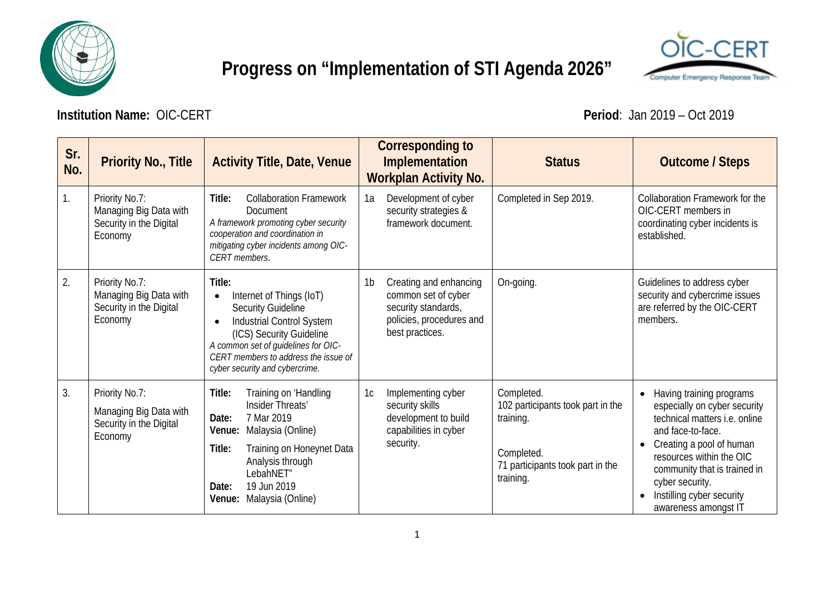

## **Progress on "Implementation of STI Agenda 2026"**



**Institution Name:** OIC-CERT **Period**: Jan 2019 – Oct 2019

| Sr.<br>No.     | <b>Priority No., Title</b>                                                     | <b>Activity Title, Date, Venue</b>                                                                                                                                                                                                                                  |                | <b>Corresponding to</b><br>Implementation<br><b>Workplan Activity No.</b>                                           | <b>Status</b>                                                                                                               | <b>Outcome / Steps</b>                                                                                                                                                                                                                                                                                          |
|----------------|--------------------------------------------------------------------------------|---------------------------------------------------------------------------------------------------------------------------------------------------------------------------------------------------------------------------------------------------------------------|----------------|---------------------------------------------------------------------------------------------------------------------|-----------------------------------------------------------------------------------------------------------------------------|-----------------------------------------------------------------------------------------------------------------------------------------------------------------------------------------------------------------------------------------------------------------------------------------------------------------|
| $\mathbf{1}$ . | Priority No.7:<br>Managing Big Data with<br>Security in the Digital<br>Economy | Title:<br><b>Collaboration Framework</b><br>Document<br>A framework promoting cyber security<br>cooperation and coordination in<br>mitigating cyber incidents among OIC-<br><b>CERT</b> members.                                                                    | 1a             | Development of cyber<br>security strategies &<br>framework document.                                                | Completed in Sep 2019.                                                                                                      | Collaboration Framework for the<br>OIC-CERT members in<br>coordinating cyber incidents is<br>established.                                                                                                                                                                                                       |
| 2.             | Priority No.7:<br>Managing Big Data with<br>Security in the Digital<br>Economy | Title:<br>Internet of Things (IoT)<br>$\bullet$<br><b>Security Guideline</b><br>Industrial Control System<br>$\bullet$<br>(ICS) Security Guideline<br>A common set of guidelines for OIC-<br>CERT members to address the issue of<br>cyber security and cybercrime. | 1 <sub>b</sub> | Creating and enhancing<br>common set of cyber<br>security standards,<br>policies, procedures and<br>best practices. | On-going.                                                                                                                   | Guidelines to address cyber<br>security and cybercrime issues<br>are referred by the OIC-CERT<br>members.                                                                                                                                                                                                       |
| 3.             | Priority No.7:<br>Managing Big Data with<br>Security in the Digital<br>Economy | Training on 'Handling<br>Title:<br>Insider Threats'<br>7 Mar 2019<br>Date:<br>Malaysia (Online)<br>Venue:<br>Title:<br>Training on Honeynet Data<br>Analysis through<br>LebahNET"<br>19 Jun 2019<br>Date:<br>Malaysia (Online)<br>Venue:                            | 1c             | Implementing cyber<br>security skills<br>development to build<br>capabilities in cyber<br>security.                 | Completed.<br>102 participants took part in the<br>training.<br>Completed.<br>71 participants took part in the<br>training. | Having training programs<br>$\bullet$<br>especially on cyber security<br>technical matters <i>i.e.</i> online<br>and face-to-face.<br>Creating a pool of human<br>$\bullet$<br>resources within the OIC<br>community that is trained in<br>cyber security.<br>Instilling cyber security<br>awareness amongst IT |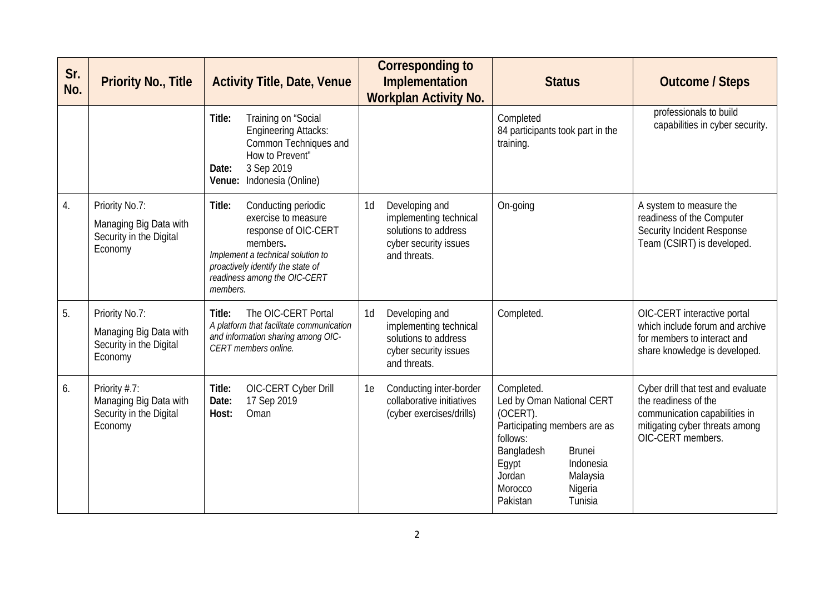| Sr.<br>No. | <b>Priority No., Title</b>                                                       | <b>Activity Title, Date, Venue</b>                                                                                                                                                                             | <b>Corresponding to</b><br>Implementation<br><b>Workplan Activity No.</b>                                                   | <b>Status</b>                                                                                                                                                                                                           | <b>Outcome / Steps</b>                                                                                                                             |
|------------|----------------------------------------------------------------------------------|----------------------------------------------------------------------------------------------------------------------------------------------------------------------------------------------------------------|-----------------------------------------------------------------------------------------------------------------------------|-------------------------------------------------------------------------------------------------------------------------------------------------------------------------------------------------------------------------|----------------------------------------------------------------------------------------------------------------------------------------------------|
|            |                                                                                  | Training on "Social<br>Title:<br><b>Engineering Attacks:</b><br>Common Techniques and<br>How to Prevent"<br>3 Sep 2019<br>Date:<br>Indonesia (Online)<br>Venue:                                                |                                                                                                                             | Completed<br>84 participants took part in the<br>training.                                                                                                                                                              | professionals to build<br>capabilities in cyber security.                                                                                          |
| 4.         | Priority No.7:<br>Managing Big Data with<br>Security in the Digital<br>Economy   | Title:<br>Conducting periodic<br>exercise to measure<br>response of OIC-CERT<br>members.<br>Implement a technical solution to<br>proactively identify the state of<br>readiness among the OIC-CERT<br>members. | 1 <sub>d</sub><br>Developing and<br>implementing technical<br>solutions to address<br>cyber security issues<br>and threats. | On-going                                                                                                                                                                                                                | A system to measure the<br>readiness of the Computer<br>Security Incident Response<br>Team (CSIRT) is developed.                                   |
| 5.         | Priority No.7:<br>Managing Big Data with<br>Security in the Digital<br>Economy   | The OIC-CERT Portal<br>Title:<br>A platform that facilitate communication<br>and information sharing among OIC-<br>CERT members online.                                                                        | 1d<br>Developing and<br>implementing technical<br>solutions to address<br>cyber security issues<br>and threats.             | Completed.                                                                                                                                                                                                              | OIC-CERT interactive portal<br>which include forum and archive<br>for members to interact and<br>share knowledge is developed.                     |
| 6.         | Priority $# .7:$<br>Managing Big Data with<br>Security in the Digital<br>Economy | OIC-CERT Cyber Drill<br>Title:<br>17 Sep 2019<br>Date:<br>Oman<br>Host:                                                                                                                                        | Conducting inter-border<br>1e<br>collaborative initiatives<br>(cyber exercises/drills)                                      | Completed.<br>Led by Oman National CERT<br>(OCERT).<br>Participating members are as<br>follows:<br>Bangladesh<br><b>Brunei</b><br>Indonesia<br>Egypt<br>Jordan<br>Malaysia<br>Morocco<br>Nigeria<br>Tunisia<br>Pakistan | Cyber drill that test and evaluate<br>the readiness of the<br>communication capabilities in<br>mitigating cyber threats among<br>OIC-CERT members. |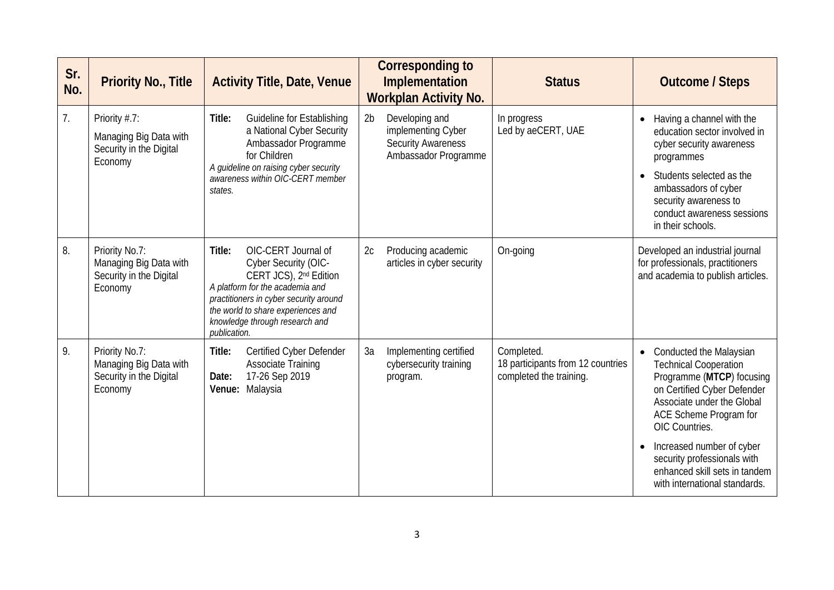| Sr.<br>No. | <b>Priority No., Title</b>                                                     | <b>Activity Title, Date, Venue</b>                                                                                                                                                                                                                               | <b>Corresponding to</b><br>Implementation<br><b>Workplan Activity No.</b>                                   | <b>Status</b>                                                              | <b>Outcome / Steps</b>                                                                                                                                                                                                                                                                                                      |
|------------|--------------------------------------------------------------------------------|------------------------------------------------------------------------------------------------------------------------------------------------------------------------------------------------------------------------------------------------------------------|-------------------------------------------------------------------------------------------------------------|----------------------------------------------------------------------------|-----------------------------------------------------------------------------------------------------------------------------------------------------------------------------------------------------------------------------------------------------------------------------------------------------------------------------|
| 7.         | Priority #.7:<br>Managing Big Data with<br>Security in the Digital<br>Economy  | Title:<br>Guideline for Establishing<br>a National Cyber Security<br>Ambassador Programme<br>for Children<br>A guideline on raising cyber security<br>awareness within OIC-CERT member<br>states.                                                                | 2 <sub>b</sub><br>Developing and<br>implementing Cyber<br><b>Security Awareness</b><br>Ambassador Programme | In progress<br>Led by aeCERT, UAE                                          | Having a channel with the<br>$\bullet$<br>education sector involved in<br>cyber security awareness<br>programmes<br>Students selected as the<br>ambassadors of cyber<br>security awareness to<br>conduct awareness sessions<br>in their schools.                                                                            |
| 8.         | Priority No.7:<br>Managing Big Data with<br>Security in the Digital<br>Economy | OIC-CERT Journal of<br>Title:<br>Cyber Security (OIC-<br>CERT JCS), 2 <sup>nd</sup> Edition<br>A platform for the academia and<br>practitioners in cyber security around<br>the world to share experiences and<br>knowledge through research and<br>publication. | Producing academic<br>2c<br>articles in cyber security                                                      | On-going                                                                   | Developed an industrial journal<br>for professionals, practitioners<br>and academia to publish articles.                                                                                                                                                                                                                    |
| 9.         | Priority No.7:<br>Managing Big Data with<br>Security in the Digital<br>Economy | Certified Cyber Defender<br>Title:<br><b>Associate Training</b><br>17-26 Sep 2019<br>Date:<br>Malaysia<br>Venue:                                                                                                                                                 | 3a<br>Implementing certified<br>cybersecurity training<br>program.                                          | Completed.<br>18 participants from 12 countries<br>completed the training. | Conducted the Malaysian<br><b>Technical Cooperation</b><br>Programme (MTCP) focusing<br>on Certified Cyber Defender<br>Associate under the Global<br>ACE Scheme Program for<br>OIC Countries.<br>Increased number of cyber<br>security professionals with<br>enhanced skill sets in tandem<br>with international standards. |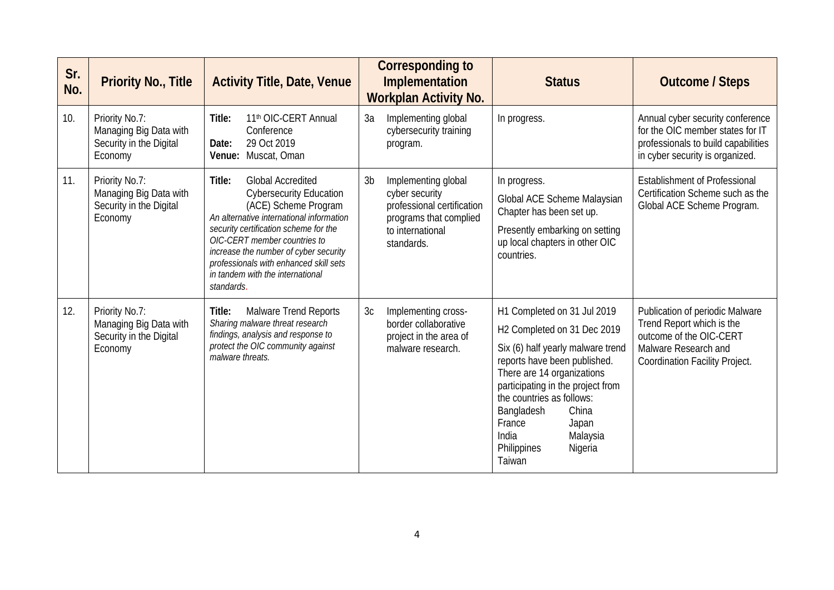| Sr.<br>No. | <b>Priority No., Title</b>                                                     | <b>Activity Title, Date, Venue</b>                                                                                                                                                                                                                                                                                                                     | <b>Corresponding to</b><br>Implementation<br><b>Workplan Activity No.</b>                                                                         | <b>Status</b>                                                                                                                                                                                                                                                                                                                      | <b>Outcome / Steps</b>                                                                                                                                   |
|------------|--------------------------------------------------------------------------------|--------------------------------------------------------------------------------------------------------------------------------------------------------------------------------------------------------------------------------------------------------------------------------------------------------------------------------------------------------|---------------------------------------------------------------------------------------------------------------------------------------------------|------------------------------------------------------------------------------------------------------------------------------------------------------------------------------------------------------------------------------------------------------------------------------------------------------------------------------------|----------------------------------------------------------------------------------------------------------------------------------------------------------|
| 10.        | Priority No.7:<br>Managing Big Data with<br>Security in the Digital<br>Economy | 11 <sup>th</sup> OIC-CERT Annual<br>Title:<br>Conference<br>29 Oct 2019<br>Date:<br>Muscat, Oman<br>Venue:                                                                                                                                                                                                                                             | 3a<br>Implementing global<br>cybersecurity training<br>program.                                                                                   | In progress.                                                                                                                                                                                                                                                                                                                       | Annual cyber security conference<br>for the OIC member states for IT<br>professionals to build capabilities<br>in cyber security is organized.           |
| 11.        | Priority No.7:<br>Managing Big Data with<br>Security in the Digital<br>Economy | <b>Global Accredited</b><br>Title:<br><b>Cybersecurity Education</b><br>(ACE) Scheme Program<br>An alternative international information<br>security certification scheme for the<br>OIC-CERT member countries to<br>increase the number of cyber security<br>professionals with enhanced skill sets<br>in tandem with the international<br>standards. | 3 <sub>b</sub><br>Implementing global<br>cyber security<br>professional certification<br>programs that complied<br>to international<br>standards. | In progress.<br>Global ACE Scheme Malaysian<br>Chapter has been set up.<br>Presently embarking on setting<br>up local chapters in other OIC<br>countries.                                                                                                                                                                          | <b>Establishment of Professional</b><br>Certification Scheme such as the<br>Global ACE Scheme Program.                                                   |
| 12.        | Priority No.7:<br>Managing Big Data with<br>Security in the Digital<br>Economy | <b>Malware Trend Reports</b><br>Title:<br>Sharing malware threat research<br>findings, analysis and response to<br>protect the OIC community against<br>malware threats.                                                                                                                                                                               | 3c<br>Implementing cross-<br>border collaborative<br>project in the area of<br>malware research.                                                  | H1 Completed on 31 Jul 2019<br>H2 Completed on 31 Dec 2019<br>Six (6) half yearly malware trend<br>reports have been published.<br>There are 14 organizations<br>participating in the project from<br>the countries as follows:<br>Bangladesh<br>China<br>France<br>Japan<br>India<br>Malaysia<br>Philippines<br>Nigeria<br>Taiwan | <b>Publication of periodic Malware</b><br>Trend Report which is the<br>outcome of the OIC-CERT<br>Malware Research and<br>Coordination Facility Project. |